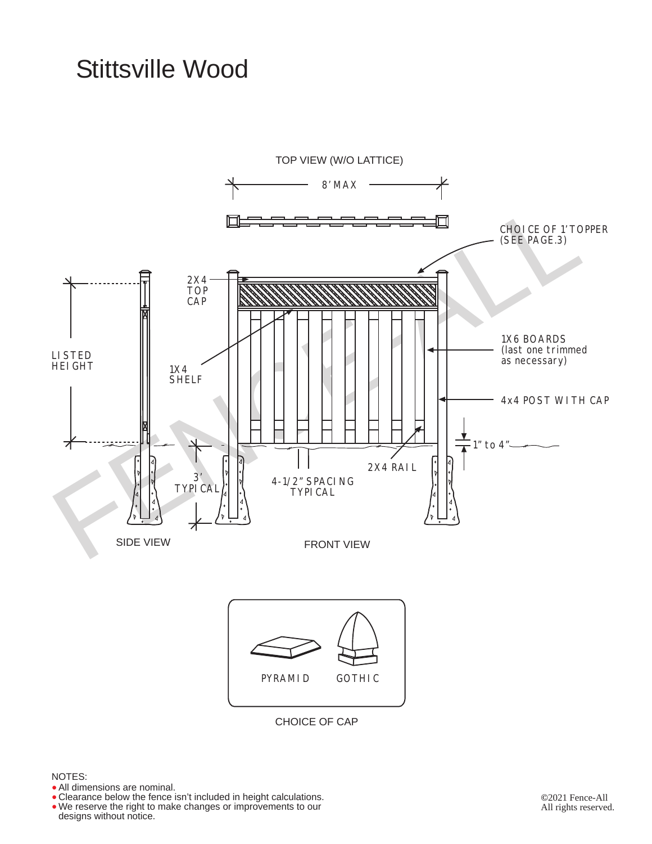## Stittsville Wood



NOTES:

- All dimensions are nominal.
- Clearance below the fence isn't included in height calculations. • All dimensions are nominal.<br>• Clearance below the fence isn't included in height calculations<br>• We reserve the right to make changes or improvements to our
- designs without notice. •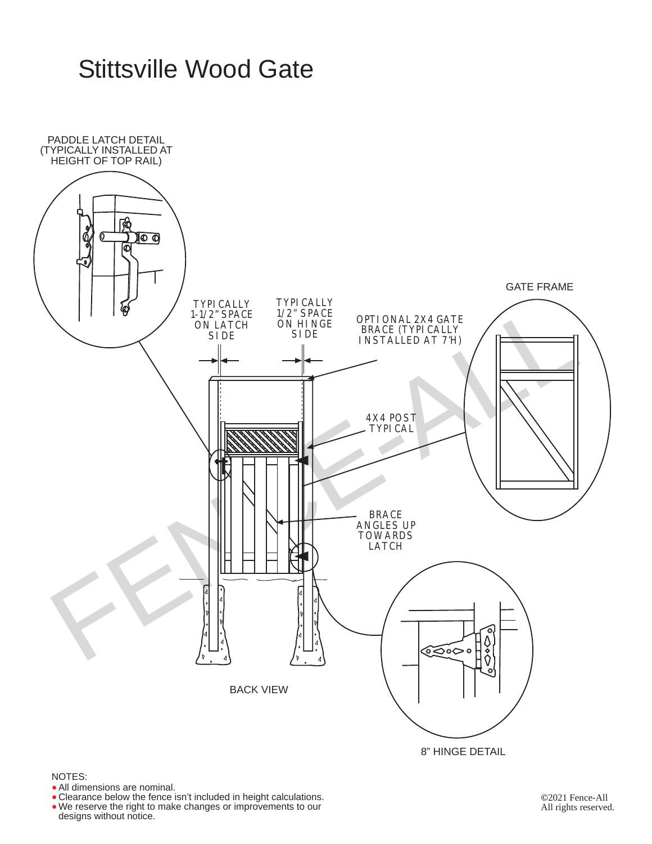## Stittsville Wood Gate



NOTES:

- All dimensions are nominal.
- All dimensions are nominal.<br>• Clearance below the fence isn't included in height calculations.
- We reserve the right to make changes or improvements to our designs without notice.